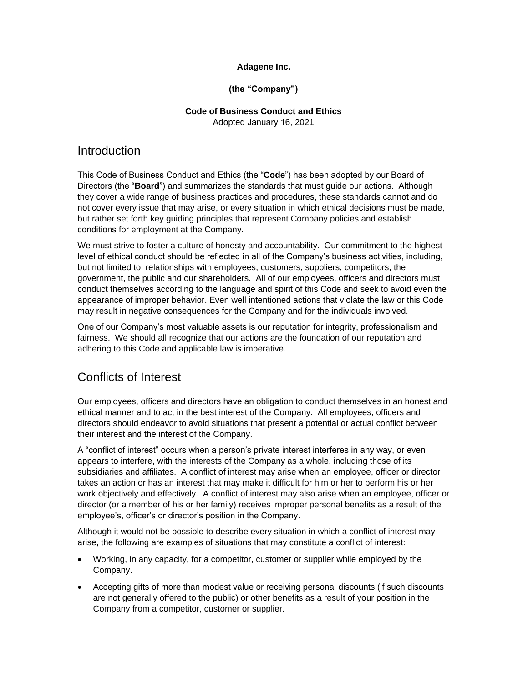#### **Adagene Inc.**

#### **(the "Company")**

# **Code of Business Conduct and Ethics**

Adopted January 16, 2021

#### **Introduction**

This Code of Business Conduct and Ethics (the "**Code**") has been adopted by our Board of Directors (the "**Board**") and summarizes the standards that must guide our actions. Although they cover a wide range of business practices and procedures, these standards cannot and do not cover every issue that may arise, or every situation in which ethical decisions must be made, but rather set forth key guiding principles that represent Company policies and establish conditions for employment at the Company.

We must strive to foster a culture of honesty and accountability. Our commitment to the highest level of ethical conduct should be reflected in all of the Company's business activities, including, but not limited to, relationships with employees, customers, suppliers, competitors, the government, the public and our shareholders. All of our employees, officers and directors must conduct themselves according to the language and spirit of this Code and seek to avoid even the appearance of improper behavior. Even well intentioned actions that violate the law or this Code may result in negative consequences for the Company and for the individuals involved.

One of our Company's most valuable assets is our reputation for integrity, professionalism and fairness. We should all recognize that our actions are the foundation of our reputation and adhering to this Code and applicable law is imperative.

# Conflicts of Interest

Our employees, officers and directors have an obligation to conduct themselves in an honest and ethical manner and to act in the best interest of the Company. All employees, officers and directors should endeavor to avoid situations that present a potential or actual conflict between their interest and the interest of the Company.

A "conflict of interest" occurs when a person's private interest interferes in any way, or even appears to interfere, with the interests of the Company as a whole, including those of its subsidiaries and affiliates. A conflict of interest may arise when an employee, officer or director takes an action or has an interest that may make it difficult for him or her to perform his or her work objectively and effectively. A conflict of interest may also arise when an employee, officer or director (or a member of his or her family) receives improper personal benefits as a result of the employee's, officer's or director's position in the Company.

Although it would not be possible to describe every situation in which a conflict of interest may arise, the following are examples of situations that may constitute a conflict of interest:

- Working, in any capacity, for a competitor, customer or supplier while employed by the Company.
- Accepting gifts of more than modest value or receiving personal discounts (if such discounts are not generally offered to the public) or other benefits as a result of your position in the Company from a competitor, customer or supplier.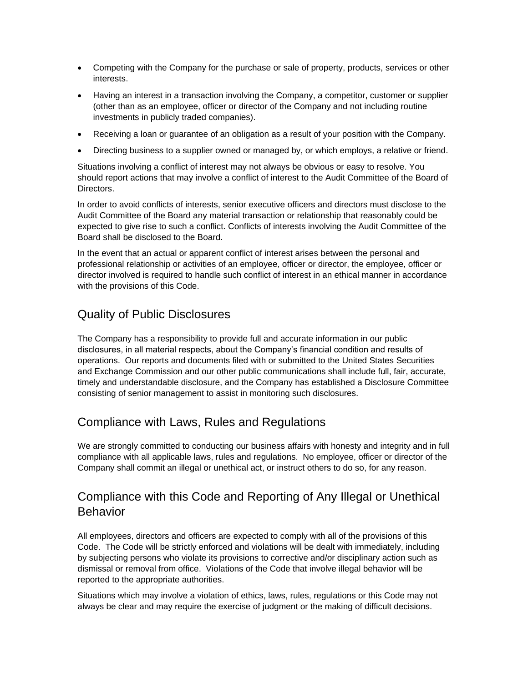- Competing with the Company for the purchase or sale of property, products, services or other interests.
- Having an interest in a transaction involving the Company, a competitor, customer or supplier (other than as an employee, officer or director of the Company and not including routine investments in publicly traded companies).
- Receiving a loan or guarantee of an obligation as a result of your position with the Company.
- Directing business to a supplier owned or managed by, or which employs, a relative or friend.

Situations involving a conflict of interest may not always be obvious or easy to resolve. You should report actions that may involve a conflict of interest to the Audit Committee of the Board of Directors.

In order to avoid conflicts of interests, senior executive officers and directors must disclose to the Audit Committee of the Board any material transaction or relationship that reasonably could be expected to give rise to such a conflict. Conflicts of interests involving the Audit Committee of the Board shall be disclosed to the Board.

In the event that an actual or apparent conflict of interest arises between the personal and professional relationship or activities of an employee, officer or director, the employee, officer or director involved is required to handle such conflict of interest in an ethical manner in accordance with the provisions of this Code.

#### Quality of Public Disclosures

The Company has a responsibility to provide full and accurate information in our public disclosures, in all material respects, about the Company's financial condition and results of operations. Our reports and documents filed with or submitted to the United States Securities and Exchange Commission and our other public communications shall include full, fair, accurate, timely and understandable disclosure, and the Company has established a Disclosure Committee consisting of senior management to assist in monitoring such disclosures.

## Compliance with Laws, Rules and Regulations

We are strongly committed to conducting our business affairs with honesty and integrity and in full compliance with all applicable laws, rules and regulations. No employee, officer or director of the Company shall commit an illegal or unethical act, or instruct others to do so, for any reason.

# Compliance with this Code and Reporting of Any Illegal or Unethical **Behavior**

All employees, directors and officers are expected to comply with all of the provisions of this Code. The Code will be strictly enforced and violations will be dealt with immediately, including by subjecting persons who violate its provisions to corrective and/or disciplinary action such as dismissal or removal from office. Violations of the Code that involve illegal behavior will be reported to the appropriate authorities.

Situations which may involve a violation of ethics, laws, rules, regulations or this Code may not always be clear and may require the exercise of judgment or the making of difficult decisions.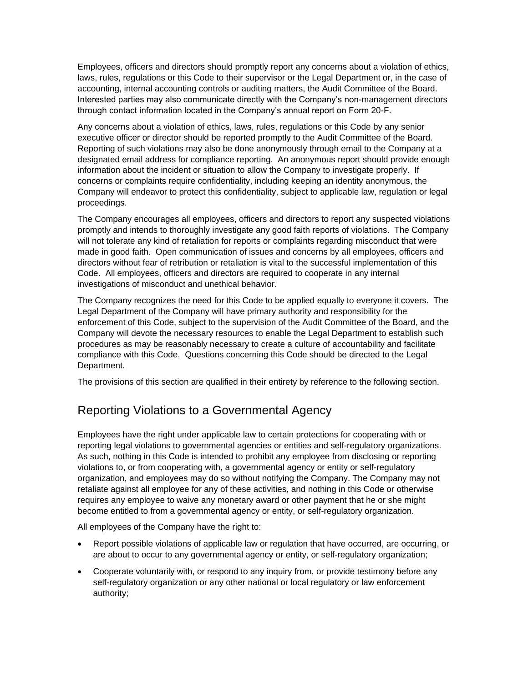Employees, officers and directors should promptly report any concerns about a violation of ethics, laws, rules, regulations or this Code to their supervisor or the Legal Department or, in the case of accounting, internal accounting controls or auditing matters, the Audit Committee of the Board. Interested parties may also communicate directly with the Company's non-management directors through contact information located in the Company's annual report on Form 20-F.

Any concerns about a violation of ethics, laws, rules, regulations or this Code by any senior executive officer or director should be reported promptly to the Audit Committee of the Board. Reporting of such violations may also be done anonymously through email to the Company at a designated email address for compliance reporting. An anonymous report should provide enough information about the incident or situation to allow the Company to investigate properly. If concerns or complaints require confidentiality, including keeping an identity anonymous, the Company will endeavor to protect this confidentiality, subject to applicable law, regulation or legal proceedings.

The Company encourages all employees, officers and directors to report any suspected violations promptly and intends to thoroughly investigate any good faith reports of violations. The Company will not tolerate any kind of retaliation for reports or complaints regarding misconduct that were made in good faith. Open communication of issues and concerns by all employees, officers and directors without fear of retribution or retaliation is vital to the successful implementation of this Code. All employees, officers and directors are required to cooperate in any internal investigations of misconduct and unethical behavior.

The Company recognizes the need for this Code to be applied equally to everyone it covers. The Legal Department of the Company will have primary authority and responsibility for the enforcement of this Code, subject to the supervision of the Audit Committee of the Board, and the Company will devote the necessary resources to enable the Legal Department to establish such procedures as may be reasonably necessary to create a culture of accountability and facilitate compliance with this Code. Questions concerning this Code should be directed to the Legal Department.

The provisions of this section are qualified in their entirety by reference to the following section.

# Reporting Violations to a Governmental Agency

Employees have the right under applicable law to certain protections for cooperating with or reporting legal violations to governmental agencies or entities and self-regulatory organizations. As such, nothing in this Code is intended to prohibit any employee from disclosing or reporting violations to, or from cooperating with, a governmental agency or entity or self-regulatory organization, and employees may do so without notifying the Company. The Company may not retaliate against all employee for any of these activities, and nothing in this Code or otherwise requires any employee to waive any monetary award or other payment that he or she might become entitled to from a governmental agency or entity, or self-regulatory organization.

All employees of the Company have the right to:

- Report possible violations of applicable law or regulation that have occurred, are occurring, or are about to occur to any governmental agency or entity, or self-regulatory organization;
- Cooperate voluntarily with, or respond to any inquiry from, or provide testimony before any self-regulatory organization or any other national or local regulatory or law enforcement authority;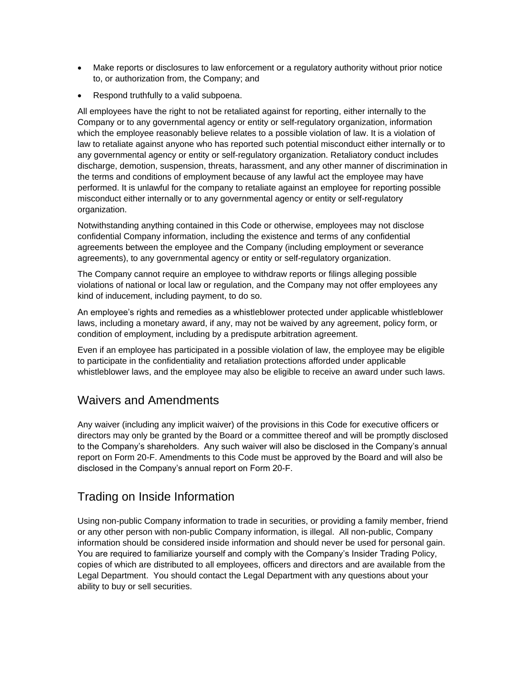- Make reports or disclosures to law enforcement or a regulatory authority without prior notice to, or authorization from, the Company; and
- Respond truthfully to a valid subpoena.

All employees have the right to not be retaliated against for reporting, either internally to the Company or to any governmental agency or entity or self-regulatory organization, information which the employee reasonably believe relates to a possible violation of law. It is a violation of law to retaliate against anyone who has reported such potential misconduct either internally or to any governmental agency or entity or self-regulatory organization. Retaliatory conduct includes discharge, demotion, suspension, threats, harassment, and any other manner of discrimination in the terms and conditions of employment because of any lawful act the employee may have performed. It is unlawful for the company to retaliate against an employee for reporting possible misconduct either internally or to any governmental agency or entity or self-regulatory organization.

Notwithstanding anything contained in this Code or otherwise, employees may not disclose confidential Company information, including the existence and terms of any confidential agreements between the employee and the Company (including employment or severance agreements), to any governmental agency or entity or self-regulatory organization.

The Company cannot require an employee to withdraw reports or filings alleging possible violations of national or local law or regulation, and the Company may not offer employees any kind of inducement, including payment, to do so.

An employee's rights and remedies as a whistleblower protected under applicable whistleblower laws, including a monetary award, if any, may not be waived by any agreement, policy form, or condition of employment, including by a predispute arbitration agreement.

Even if an employee has participated in a possible violation of law, the employee may be eligible to participate in the confidentiality and retaliation protections afforded under applicable whistleblower laws, and the employee may also be eligible to receive an award under such laws.

#### Waivers and Amendments

Any waiver (including any implicit waiver) of the provisions in this Code for executive officers or directors may only be granted by the Board or a committee thereof and will be promptly disclosed to the Company's shareholders. Any such waiver will also be disclosed in the Company's annual report on Form 20-F. Amendments to this Code must be approved by the Board and will also be disclosed in the Company's annual report on Form 20-F.

## Trading on Inside Information

Using non-public Company information to trade in securities, or providing a family member, friend or any other person with non-public Company information, is illegal. All non-public, Company information should be considered inside information and should never be used for personal gain. You are required to familiarize yourself and comply with the Company's Insider Trading Policy, copies of which are distributed to all employees, officers and directors and are available from the Legal Department. You should contact the Legal Department with any questions about your ability to buy or sell securities.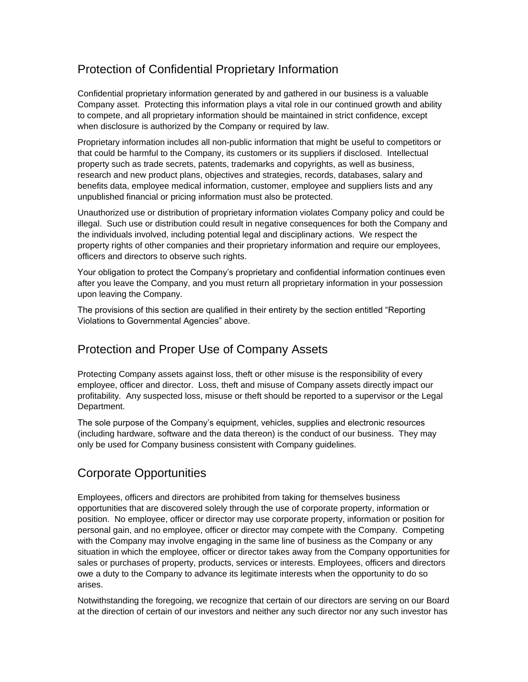# Protection of Confidential Proprietary Information

Confidential proprietary information generated by and gathered in our business is a valuable Company asset. Protecting this information plays a vital role in our continued growth and ability to compete, and all proprietary information should be maintained in strict confidence, except when disclosure is authorized by the Company or required by law.

Proprietary information includes all non-public information that might be useful to competitors or that could be harmful to the Company, its customers or its suppliers if disclosed. Intellectual property such as trade secrets, patents, trademarks and copyrights, as well as business, research and new product plans, objectives and strategies, records, databases, salary and benefits data, employee medical information, customer, employee and suppliers lists and any unpublished financial or pricing information must also be protected.

Unauthorized use or distribution of proprietary information violates Company policy and could be illegal. Such use or distribution could result in negative consequences for both the Company and the individuals involved, including potential legal and disciplinary actions. We respect the property rights of other companies and their proprietary information and require our employees, officers and directors to observe such rights.

Your obligation to protect the Company's proprietary and confidential information continues even after you leave the Company, and you must return all proprietary information in your possession upon leaving the Company.

The provisions of this section are qualified in their entirety by the section entitled "Reporting Violations to Governmental Agencies" above.

## Protection and Proper Use of Company Assets

Protecting Company assets against loss, theft or other misuse is the responsibility of every employee, officer and director. Loss, theft and misuse of Company assets directly impact our profitability. Any suspected loss, misuse or theft should be reported to a supervisor or the Legal Department.

The sole purpose of the Company's equipment, vehicles, supplies and electronic resources (including hardware, software and the data thereon) is the conduct of our business. They may only be used for Company business consistent with Company guidelines.

# Corporate Opportunities

Employees, officers and directors are prohibited from taking for themselves business opportunities that are discovered solely through the use of corporate property, information or position. No employee, officer or director may use corporate property, information or position for personal gain, and no employee, officer or director may compete with the Company. Competing with the Company may involve engaging in the same line of business as the Company or any situation in which the employee, officer or director takes away from the Company opportunities for sales or purchases of property, products, services or interests. Employees, officers and directors owe a duty to the Company to advance its legitimate interests when the opportunity to do so arises.

Notwithstanding the foregoing, we recognize that certain of our directors are serving on our Board at the direction of certain of our investors and neither any such director nor any such investor has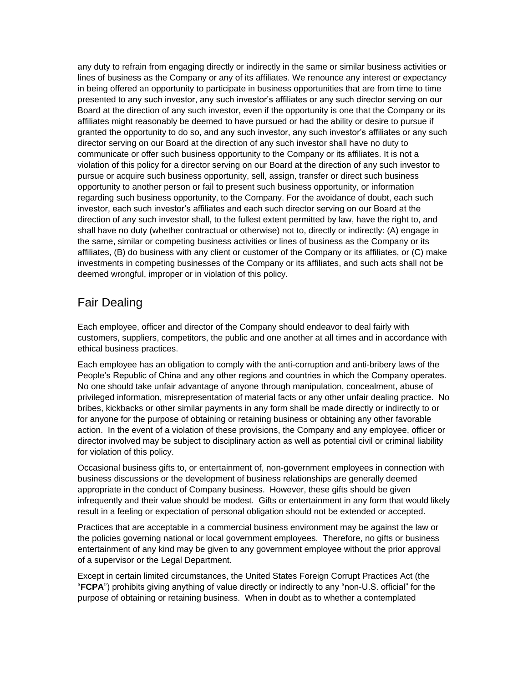any duty to refrain from engaging directly or indirectly in the same or similar business activities or lines of business as the Company or any of its affiliates. We renounce any interest or expectancy in being offered an opportunity to participate in business opportunities that are from time to time presented to any such investor, any such investor's affiliates or any such director serving on our Board at the direction of any such investor, even if the opportunity is one that the Company or its affiliates might reasonably be deemed to have pursued or had the ability or desire to pursue if granted the opportunity to do so, and any such investor, any such investor's affiliates or any such director serving on our Board at the direction of any such investor shall have no duty to communicate or offer such business opportunity to the Company or its affiliates. It is not a violation of this policy for a director serving on our Board at the direction of any such investor to pursue or acquire such business opportunity, sell, assign, transfer or direct such business opportunity to another person or fail to present such business opportunity, or information regarding such business opportunity, to the Company. For the avoidance of doubt, each such investor, each such investor's affiliates and each such director serving on our Board at the direction of any such investor shall, to the fullest extent permitted by law, have the right to, and shall have no duty (whether contractual or otherwise) not to, directly or indirectly: (A) engage in the same, similar or competing business activities or lines of business as the Company or its affiliates, (B) do business with any client or customer of the Company or its affiliates, or (C) make investments in competing businesses of the Company or its affiliates, and such acts shall not be deemed wrongful, improper or in violation of this policy.

# Fair Dealing

Each employee, officer and director of the Company should endeavor to deal fairly with customers, suppliers, competitors, the public and one another at all times and in accordance with ethical business practices.

Each employee has an obligation to comply with the anti-corruption and anti-bribery laws of the People's Republic of China and any other regions and countries in which the Company operates. No one should take unfair advantage of anyone through manipulation, concealment, abuse of privileged information, misrepresentation of material facts or any other unfair dealing practice. No bribes, kickbacks or other similar payments in any form shall be made directly or indirectly to or for anyone for the purpose of obtaining or retaining business or obtaining any other favorable action. In the event of a violation of these provisions, the Company and any employee, officer or director involved may be subject to disciplinary action as well as potential civil or criminal liability for violation of this policy.

Occasional business gifts to, or entertainment of, non-government employees in connection with business discussions or the development of business relationships are generally deemed appropriate in the conduct of Company business. However, these gifts should be given infrequently and their value should be modest. Gifts or entertainment in any form that would likely result in a feeling or expectation of personal obligation should not be extended or accepted.

Practices that are acceptable in a commercial business environment may be against the law or the policies governing national or local government employees. Therefore, no gifts or business entertainment of any kind may be given to any government employee without the prior approval of a supervisor or the Legal Department.

Except in certain limited circumstances, the United States Foreign Corrupt Practices Act (the "**FCPA**") prohibits giving anything of value directly or indirectly to any "non-U.S. official" for the purpose of obtaining or retaining business. When in doubt as to whether a contemplated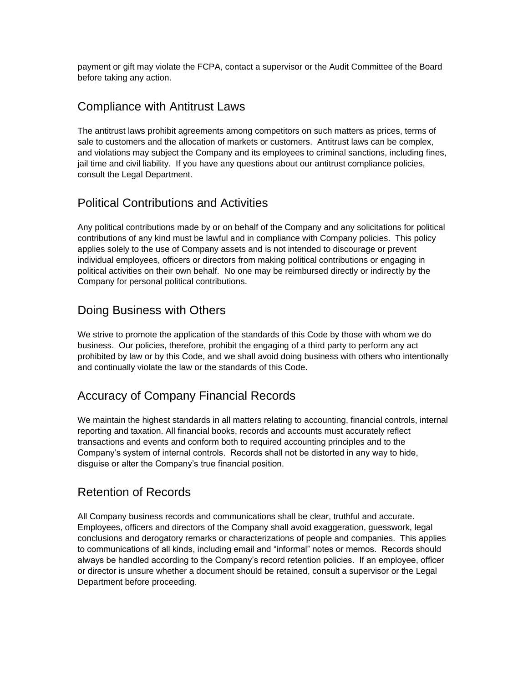payment or gift may violate the FCPA, contact a supervisor or the Audit Committee of the Board before taking any action.

### Compliance with Antitrust Laws

The antitrust laws prohibit agreements among competitors on such matters as prices, terms of sale to customers and the allocation of markets or customers. Antitrust laws can be complex, and violations may subject the Company and its employees to criminal sanctions, including fines, jail time and civil liability. If you have any questions about our antitrust compliance policies, consult the Legal Department.

# Political Contributions and Activities

Any political contributions made by or on behalf of the Company and any solicitations for political contributions of any kind must be lawful and in compliance with Company policies. This policy applies solely to the use of Company assets and is not intended to discourage or prevent individual employees, officers or directors from making political contributions or engaging in political activities on their own behalf. No one may be reimbursed directly or indirectly by the Company for personal political contributions.

### Doing Business with Others

We strive to promote the application of the standards of this Code by those with whom we do business. Our policies, therefore, prohibit the engaging of a third party to perform any act prohibited by law or by this Code, and we shall avoid doing business with others who intentionally and continually violate the law or the standards of this Code.

## Accuracy of Company Financial Records

We maintain the highest standards in all matters relating to accounting, financial controls, internal reporting and taxation. All financial books, records and accounts must accurately reflect transactions and events and conform both to required accounting principles and to the Company's system of internal controls. Records shall not be distorted in any way to hide, disguise or alter the Company's true financial position.

#### Retention of Records

All Company business records and communications shall be clear, truthful and accurate. Employees, officers and directors of the Company shall avoid exaggeration, guesswork, legal conclusions and derogatory remarks or characterizations of people and companies. This applies to communications of all kinds, including email and "informal" notes or memos. Records should always be handled according to the Company's record retention policies. If an employee, officer or director is unsure whether a document should be retained, consult a supervisor or the Legal Department before proceeding.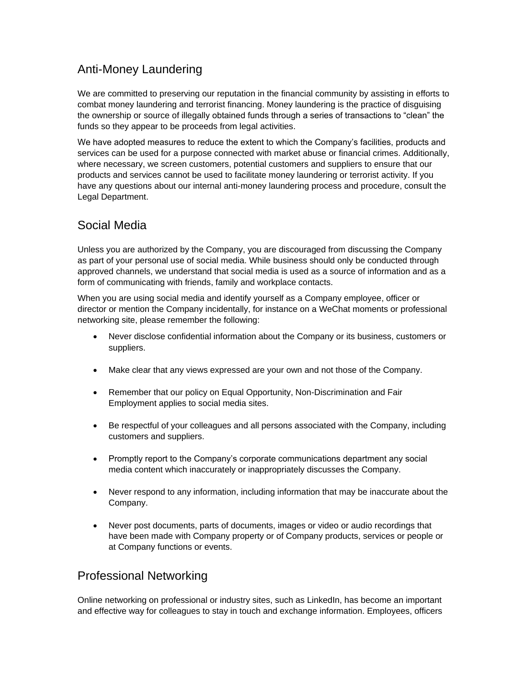## Anti-Money Laundering

We are committed to preserving our reputation in the financial community by assisting in efforts to combat money laundering and terrorist financing. Money laundering is the practice of disguising the ownership or source of illegally obtained funds through a series of transactions to "clean" the funds so they appear to be proceeds from legal activities.

We have adopted measures to reduce the extent to which the Company's facilities, products and services can be used for a purpose connected with market abuse or financial crimes. Additionally, where necessary, we screen customers, potential customers and suppliers to ensure that our products and services cannot be used to facilitate money laundering or terrorist activity. If you have any questions about our internal anti-money laundering process and procedure, consult the Legal Department.

### Social Media

Unless you are authorized by the Company, you are discouraged from discussing the Company as part of your personal use of social media. While business should only be conducted through approved channels, we understand that social media is used as a source of information and as a form of communicating with friends, family and workplace contacts.

When you are using social media and identify yourself as a Company employee, officer or director or mention the Company incidentally, for instance on a WeChat moments or professional networking site, please remember the following:

- Never disclose confidential information about the Company or its business, customers or suppliers.
- Make clear that any views expressed are your own and not those of the Company.
- Remember that our policy on Equal Opportunity, Non-Discrimination and Fair Employment applies to social media sites.
- Be respectful of your colleagues and all persons associated with the Company, including customers and suppliers.
- Promptly report to the Company's corporate communications department any social media content which inaccurately or inappropriately discusses the Company.
- Never respond to any information, including information that may be inaccurate about the Company.
- Never post documents, parts of documents, images or video or audio recordings that have been made with Company property or of Company products, services or people or at Company functions or events.

## Professional Networking

Online networking on professional or industry sites, such as LinkedIn, has become an important and effective way for colleagues to stay in touch and exchange information. Employees, officers